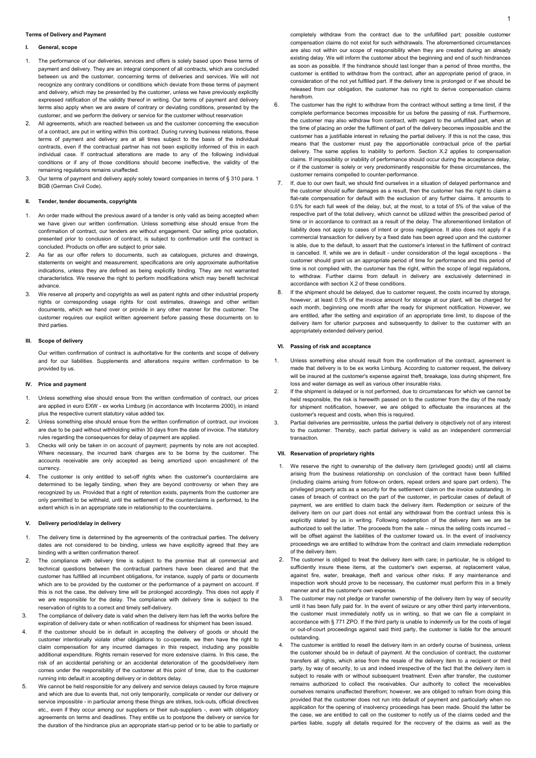## **Terms of Delivery and Payment**

## **I. General, scope**

- 1. The performance of our deliveries, services and offers is solely based upon these terms of payment and delivery. They are an integral component of all contracts, which are concluded between us and the customer, concerning terms of deliveries and services. We will not recognize any contrary conditions or conditions which deviate from these terms of payment and delivery, which may be presented by the customer, unless we have previously explicitly expressed ratification of the validity thereof in writing. Our terms of payment and delivery terms also apply when we are aware of contrary or deviating conditions, presented by the customer, and we perform the delivery or service for the customer without reservation
- 2. All agreements, which are reached between us and the customer concerning the execution of a contract, are put in writing within this contract. During running business relations, these terms of payment and delivery are at all times subject to the basis of the individual contracts, even if the contractual partner has not been explicitly informed of this in each individual case. If contractual alterations are made to any of the following individual conditions or if any of those conditions should become ineffective, the validity of the remaining regulations remains unaffected.
- 3. Our terms of payment and delivery apply solely toward companies in terms of § 310 para. 1 BGB (German Civil Code).

## **II. Tender, tender documents, copyrights**

- 1. An order made without the previous award of a tender is only valid as being accepted when we have given our written confirmation. Unless something else should ensue from the confirmation of contract, our tenders are without engagement. Our selling price quotation, presented prior to conclusion of contract, is subject to confirmation until the contract is concluded. Products on offer are subject to prior sale.
- 2. As far as our offer refers to documents, such as catalogues, pictures and drawings, statements on weight and measurement, specifications are only approximate authoritative indications, unless they are defined as being explicitly binding. They are not warranted characteristics. We reserve the right to perform modifications which may benefit technical advance.
- 3. We reserve all property and copyrights as well as patent rights and other industrial property rights or corresponding usage rights for cost estimates, drawings and other written documents, which we hand over or provide in any other manner for the customer. The customer requires our explicit written agreement before passing these documents on to third parties.

## **III. Scope of delivery**

Our written confirmation of contract is authoritative for the contents and scope of delivery and for our liabilities. Supplements and alterations require written confirmation to be provided by us.

## **IV. Price and payment**

- 1. Unless something else should ensue from the written confirmation of contract, our prices are applied in euro EXW - ex works Limburg (in accordance with Incoterms 2000), in inland plus the respective current statutory value added tax.
- 2. Unless something else should ensue from the written confirmation of contract, our invoices are due to be paid without withholding within 30 days from the date of invoice. The statutory rules regarding the consequences for delay of payment are applied.
- 3. Checks will only be taken in on account of payment; payments by note are not accepted. Where necessary, the incurred bank charges are to be borne by the customer. The accounts receivable are only accepted as being amortized upon encashment of the currency.
- 4. The customer is only entitled to set-off rights when the customer's counterclaims are determined to be legally binding, when they are beyond controversy or when they are recognized by us. Provided that a right of retention exists, payments from the customer are only permitted to be withheld, until the settlement of the counterclaims is performed, to the extent which is in an appropriate rate in relationship to the counterclaims.

## **V. Delivery period/delay in delivery**

- 1. The delivery time is determined by the agreements of the contractual parties. The delivery dates are not considered to be binding, unless we have explicitly agreed that they are binding with a written confirmation thereof.
- 2. The compliance with delivery time is subject to the premise that all commercial and technical questions between the contractual partners have been cleared and that the customer has fulfilled all incumbent obligations, for instance, supply of parts or documents which are to be provided by the customer or the performance of a payment on account. If this is not the case, the delivery time will be prolonged accordingly. This does not apply if we are responsible for the delay. The compliance with delivery time is subject to the reservation of rights to a correct and timely self-delivery.
- 3. The compliance of delivery date is valid when the delivery item has left the works before the expiration of delivery date or when notification of readiness for shipment has been issued.
- If the customer should be in default in accepting the delivery of goods or should the customer intentionally violate other obligations to co-operate, we then have the right to claim compensation for any incurred damages in this respect, including any possible additional expenditure. Rights remain reserved for more extensive claims. In this case, the risk of an accidental perishing or an accidental deterioration of the goods/delivery item comes under the responsibility of the customer at this point of time, due to the customer running into default in accepting delivery or in debtors delay.
- 5. We cannot be held responsible for any delivery and service delays caused by force majeure and which are due to events that, not only temporarily, complicate or render our delivery or service impossible - in particular among these things are strikes, lock-outs, official directives etc., even if they occur among our suppliers or their sub-suppliers -, even with obligatory agreements on terms and deadlines. They entitle us to postpone the delivery or service for the duration of the hindrance plus an appropriate start-up period or to be able to partially or
- 6. The customer has the right to withdraw from the contract without setting a time limit, if the complete performance becomes impossible for us before the passing of risk. Furthermore, the customer may also withdraw from contract, with regard to the unfulfilled part, when at the time of placing an order the fulfilment of part of the delivery becomes impossible and the customer has a justifiable interest in refusing the partial delivery. If this is not the case, this means that the customer must pay the apportionable contractual price of the partial delivery. The same applies to inability to perform. Section X.2 applies to compensation claims. If impossibility or inability of performance should occur during the acceptance delay, or if the customer is solely or very predominantly responsible for these circumstances, the customer remains compelled to counter-performance.
- 7. If, due to our own fault, we should find ourselves in a situation of delayed performance and the customer should suffer damages as a result, then the customer has the right to claim a flat-rate compensation for default with the exclusion of any further claims. It amounts to 0.5% for each full week of the delay, but, at the most, to a total of 5% of the value of the respective part of the total delivery, which cannot be utilized within the prescribed period of time or in accordance to contract as a result of the delay. The aforementioned limitation of liability does not apply to cases of intent or gross negligence. It also does not apply if a commercial transaction for delivery by a fixed date has been agreed upon and the customer is able, due to the default, to assert that the customer's interest in the fulfilment of contract is cancelled. If, while we are in default - under consideration of the legal exceptions - the customer should grant us an appropriate period of time for performance and this period of time is not complied with, the customer has the right, within the scope of legal regulations. to withdraw. Further claims from default in delivery are exclusively determined in accordance with section X.2 of these conditions.
- If the shipment should be delayed, due to customer request, the costs incurred by storage, however, at least 0.5% of the invoice amount for storage at our plant, will be charged for each month, beginning one month after the ready for shipment notification. However, we are entitled, after the setting and expiration of an appropriate time limit, to dispose of the delivery item for ulterior purposes and subsequently to deliver to the customer with an appropriately extended delivery period.

## **VI. Passing of risk and acceptance**

- 1. Unless something else should result from the confirmation of the contract, agreement is made that delivery is to be ex works Limburg. According to customer request, the delivery will be insured at the customer's expense against theft, breakage, loss during shipment, fire loss and water damage as well as various other insurable risks.
- 2. If the shipment is delayed or is not performed, due to circumstances for which we cannot be held responsible, the risk is herewith passed on to the customer from the day of the ready for shipment notification, however, we are obliged to effectuate the insurances at the customer's request and costs, when this is required.
- 3. Partial deliveries are permissible, unless the partial delivery is objectively not of any interest to the customer. Thereby, each partial delivery is valid as an independent commercial transaction.

#### **VII. Reservation of proprietary rights**

- 1. We reserve the right to ownership of the delivery item (privileged goods) until all claims arising from the business relationship on conclusion of the contract have been fulfilled (including claims arising from follow-on orders, repeat orders and spare part orders). The privileged property acts as a security for the settlement claim on the invoice outstanding. In cases of breach of contract on the part of the customer, in particular cases of default of payment, we are entitled to claim back the delivery item. Redemption or seizure of the delivery item on our part does not entail any withdrawal from the contract unless this is explicitly stated by us in writing. Following redemption of the delivery item we are be authorized to sell the latter. The proceeds from the sale – minus the selling costs incurred – will be offset against the liabilities of the customer toward us. In the event of insolvency proceedings we are entitled to withdraw from the contract and claim immediate redemption of the delivery item.
- 2. The customer is obliged to treat the delivery item with care; in particular, he is obliged to sufficiently insure these items, at the customer's own expense, at replacement value, against fire, water, breakage, theft and various other risks. If any maintenance and inspection work should prove to be necessary, the customer must perform this in a timely manner and at the customer's own expense.
- The customer may not pledge or transfer ownership of the delivery item by way of security until it has been fully paid for. In the event of seizure or any other third party interventions, the customer must immediately notify us in writing, so that we can file a complaint in accordance with § 771 ZPO. If the third party is unable to indemnify us for the costs of legal or out-of-court proceedings against said third party, the customer is liable for the amount outstanding.
- The customer is entitled to resell the delivery item in an orderly course of business, unless the customer should be in default of payment. At the conclusion of contract, the customer transfers all rights, which arise from the resale of the delivery item to a recipient or third party, by way of security, to us and indeed irrespective of the fact that the delivery item is subject to resale with or without subsequent treatment. Even after transfer, the customer remains authorized to collect the receivables. Our authority to collect the receivables ourselves remains unaffected therefrom; however, we are obliged to refrain from doing this provided that the customer does not run into default of payment and particularly when no application for the opening of insolvency proceedings has been made. Should the latter be the case, we are entitled to call on the customer to notify us of the claims ceded and the parties liable, supply all details required for the recovery of the claims as well as the